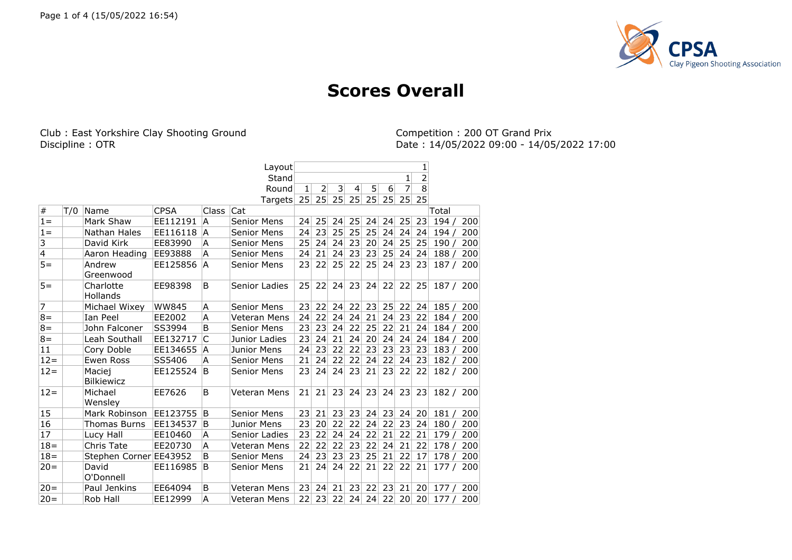

## **Scores Overall**

Club : East Yorkshire Clay Shooting Ground Discipline : OTR

Competition : 200 OT Grand Prix<br>Date : 14/05/2022 09:00 - 14/05/2022 17:00

|                |     |                              |              |              | Layout             |    |                |                |                |    |    |                 | 1              |       |     |
|----------------|-----|------------------------------|--------------|--------------|--------------------|----|----------------|----------------|----------------|----|----|-----------------|----------------|-------|-----|
|                |     |                              |              |              | Stand              |    |                |                |                |    |    | 1               | $\overline{2}$ |       |     |
|                |     |                              |              |              | Round              | 1  | $\overline{2}$ | $\overline{3}$ | $\overline{4}$ | 5  | 6  | $\overline{7}$  | $\overline{8}$ |       |     |
|                |     |                              |              |              | Targets 25         |    | 25             | 25             | 25             | 25 | 25 | 25              | 25             |       |     |
| $\#$           | T/0 | Name                         | <b>CPSA</b>  | Class        | Cat                |    |                |                |                |    |    |                 |                | Total |     |
| $1 =$          |     | Mark Shaw                    | EE112191     | A            | Senior Mens        | 24 | 25             | 24             | 25             | 24 | 24 | 25              | 23             | 194/  | 200 |
| $1 =$          |     | Nathan Hales                 | EE116118     | ΙA           | Senior Mens        | 24 | 23             | 25             | 25             | 25 | 24 | 24              | 24             | 194/  | 200 |
| 3              |     | David Kirk                   | EE83990      | A            | <b>Senior Mens</b> | 25 | 24             | 24             | 23             | 20 | 24 | 25              | 25             | 190/  | 200 |
| $\overline{4}$ |     | Aaron Heading                | EE93888      | A            | Senior Mens        | 24 | 21             | 24             | 23             | 23 | 25 | 24              | 24             | 188 / | 200 |
| $5=$           |     | Andrew<br>Greenwood          | EE125856     | ΙA           | <b>Senior Mens</b> | 23 | 22             | 25             | 22             | 25 | 24 | 23              | 23             | 187/  | 200 |
| $5=$           |     | Charlotte<br><b>Hollands</b> | EE98398      | B            | Senior Ladies      | 25 | 22             | 24             | 23             | 24 | 22 | 22              | 25             | 187/  | 200 |
| $\overline{7}$ |     | Michael Wixey                | <b>WW845</b> | A            | Senior Mens        | 23 | 22             | 24             | 22             | 23 | 25 | 22              | 24             | 185/  | 200 |
| $8 =$          |     | Ian Peel                     | EE2002       | A            | Veteran Mens       | 24 | 22             | 24             | 24             | 21 | 24 | 23              | 22             | 184/  | 200 |
| $8 =$          |     | John Falconer                | SS3994       | B            | Senior Mens        | 23 | 23             | 24             | 22             | 25 | 22 | 21              | 24             | 184   | 200 |
| $8 =$          |     | Leah Southall                | EE132717     | $\mathsf{C}$ | Junior Ladies      | 23 | 24             | 21             | 24             | 20 | 24 | 24              | 24             | 184/  | 200 |
| 11             |     | Cory Doble                   | EE134655     | ۱A           | Junior Mens        | 24 | 23             | 22             | 22             | 23 | 23 | 23              | 23             | 183/  | 200 |
| $12 =$         |     | Ewen Ross                    | SS5406       | A            | <b>Senior Mens</b> | 21 | 24             | 22             | 22             | 24 | 22 | 24              | 23             | 182/  | 200 |
| $12 =$         |     | Maciej<br><b>Bilkiewicz</b>  | EE125524     | B            | Senior Mens        | 23 | 24             | 24             | 23             | 21 | 23 | 22              | 22             | 182/  | 200 |
| $12 =$         |     | Michael<br>Wensley           | EE7626       | B            | Veteran Mens       | 21 | 21             | 23             | 24             | 23 | 24 | 23              | 23             | 182/  | 200 |
| 15             |     | Mark Robinson                | EE123755     | B            | <b>Senior Mens</b> | 23 | 21             | 23             | 23             | 24 | 23 | 24              | 20             | 181/  | 200 |
| 16             |     | <b>Thomas Burns</b>          | EE134537     | B            | Junior Mens        | 23 | 20             | 22             | 22             | 24 | 22 | 23              | 24             | 180/  | 200 |
| 17             |     | Lucy Hall                    | EE10460      | A            | Senior Ladies      | 23 | 22             | 24             | 24             | 22 | 21 | 22              | 21             | 179/  | 200 |
| $18 =$         |     | Chris Tate                   | EE20730      | A            | Veteran Mens       | 22 | 22             | 22             | 23             | 22 | 24 | 21              | 22             | 178/  | 200 |
| $18 =$         |     | Stephen Corner EE43952       |              | B            | Senior Mens        | 24 | 23             | 23             | 23             | 25 | 21 | 22              | 17             | 178/  | 200 |
| $20 =$         |     | David<br>O'Donnell           | EE116985     | B            | Senior Mens        | 21 | 24             | 24             | 22             | 21 | 22 | 22              | 21             | 177/  | 200 |
| $20 =$         |     | Paul Jenkins                 | EE64094      | B            | Veteran Mens       | 23 | 24             | 21             | 23             | 22 | 23 | 21              | 20             | 177   | 200 |
| $20=$          |     | Rob Hall                     | EE12999      | A            | Veteran Mens       | 22 | 23             | 22             | 24             | 24 | 22 | 20 <sup>2</sup> | 20             | 177   | 200 |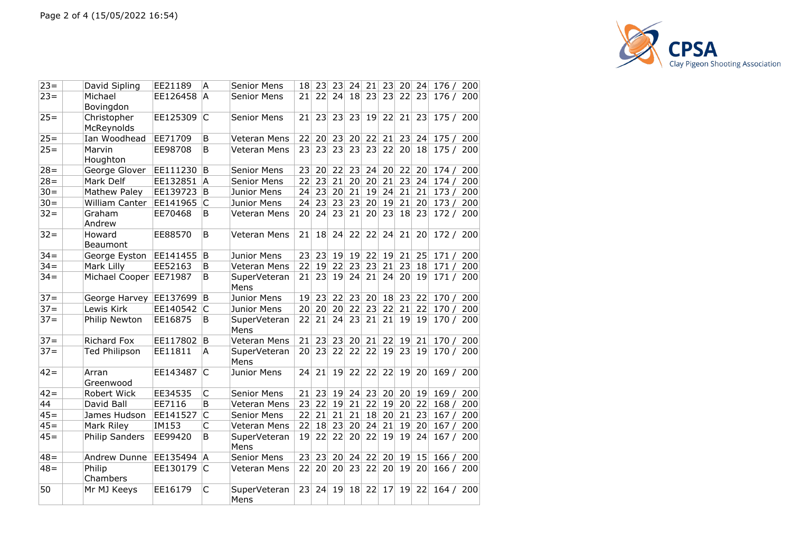

| $23 =$ | David Sipling             | EE21189  | Α            | <b>Senior Mens</b>   | 18 <sup>°</sup> | 23 | 23 | 24 | 21 |                 |            | 23 20 24 | 176 /     | 200 |
|--------|---------------------------|----------|--------------|----------------------|-----------------|----|----|----|----|-----------------|------------|----------|-----------|-----|
| $23 =$ | Michael<br>Bovingdon      | EE126458 | A            | Senior Mens          | 21              | 22 | 24 | 18 | 23 |                 | 23 22      | 23       | 176 / 200 |     |
| $25 =$ | Christopher<br>McReynolds | EE125309 | C            | Senior Mens          | 21              | 23 | 23 | 23 | 19 |                 | $22$ 21 23 |          | 175 / 200 |     |
| $25 =$ | Ian Woodhead              | EE71709  | B            | Veteran Mens         | 22              | 20 | 23 | 20 | 22 | 21              | 23         | 24       | 175/      | 200 |
| $25 =$ | Marvin<br>Houghton        | EE98708  | B            | <b>Veteran Mens</b>  | 23              | 23 | 23 | 23 | 23 |                 | 22 20      | 18       | 175 / 200 |     |
| $28 =$ | George Glover             | EE111230 | B            | <b>Senior Mens</b>   | 23              | 20 | 22 | 23 | 24 |                 | 20 22      | 20       | 174/      | 200 |
| $28 =$ | Mark Delf                 | EE132851 | A            | Senior Mens          | 22              | 23 | 21 | 20 | 20 | 21              | 23         | 24       | 174/      | 200 |
| $30 =$ | Mathew Paley              | EE139723 | B            | Junior Mens          | 24              | 23 | 20 | 21 | 19 | 24              | 21         | 21       | 173/      | 200 |
| $30 =$ | William Canter            | EE141965 | C            | Junior Mens          | 24              | 23 | 23 | 23 | 20 | 19              | 21         | 20       | 173/      | 200 |
| $32 =$ | Graham<br>Andrew          | EE70468  | B            | Veteran Mens         | 20 <sup>2</sup> | 24 | 23 | 21 | 20 | 23              | 18         | 23       | 172 / 200 |     |
| $32 =$ | Howard<br>Beaumont        | EE88570  | B            | Veteran Mens         | 21              | 18 | 24 | 22 | 22 | 24              | 21         | 20       | 172 / 200 |     |
| $34 =$ | George Eyston             | EE141455 | B            | Junior Mens          | 23              | 23 | 19 | 19 | 22 |                 | 19 21      | 25       | 171/      | 200 |
| $34 =$ | Mark Lilly                | EE52163  | B            | Veteran Mens         | 22              | 19 | 22 | 23 | 23 | 21              | 23         | 18       | 171/      | 200 |
| $34 =$ | Michael Cooper            | EE71987  | B            | SuperVeteran<br>Mens | 21              | 23 | 19 | 24 | 21 | 24              | 20         | 19       | 171 / 200 |     |
| $37 =$ | George Harvey             | EE137699 | B            | Junior Mens          | 19              | 23 | 22 | 23 | 20 | 18              | 23         | 22       | 170/      | 200 |
| $37 =$ | Lewis Kirk                | EE140542 | IС           | Junior Mens          | 20              | 20 | 20 | 22 | 23 | 22              | 21         | 22       | 170 / 200 |     |
| $37 =$ | Philip Newton             | EE16875  | B            | SuperVeteran<br>Mens | 22              | 21 | 24 | 23 | 21 | 21              | 19         | 19       | 170 / 200 |     |
| $37 =$ | <b>Richard Fox</b>        | EE117802 | ΙB           | Veteran Mens         | 21              | 23 | 23 | 20 | 21 | 22              | 19         | 21       | 170/      | 200 |
| $37 =$ | <b>Ted Philipson</b>      | EE11811  | A            | SuperVeteran<br>Mens | 20              | 23 | 22 | 22 | 22 |                 | 19 23      | 19       | 170 / 200 |     |
| $42 =$ | Arran<br>Greenwood        | EE143487 | C            | Junior Mens          | 24              | 21 | 19 | 22 | 22 | 22              | 19         | 20       | 169 / 200 |     |
| $42 =$ | Robert Wick               | EE34535  | C            | Senior Mens          | 21              | 23 | 19 | 24 | 23 |                 | 20 20      | 19       | 169/      | 200 |
| 44     | David Ball                | EE7116   | B            | Veteran Mens         | 23              | 22 | 19 | 21 | 22 |                 | 19 20      | 22       | 168/      | 200 |
| $45 =$ | James Hudson              | EE141527 | $\mathsf{C}$ | Senior Mens          | 22              | 21 | 21 | 21 | 18 |                 | 20 21      | 23       | 167/      | 200 |
| $45 =$ | Mark Riley                | IM153    | C            | Veteran Mens         | 22              | 18 | 23 | 20 | 24 | 21              | 19         | 20       | 167/      | 200 |
| $45 =$ | Philip Sanders            | EE99420  | B            | SuperVeteran<br>Mens | 19              | 22 | 22 | 20 | 22 |                 | 19 19      | 24       | 167 / 200 |     |
| $48 =$ | Andrew Dunne              | EE135494 | Α            | Senior Mens          | 23              | 23 | 20 | 24 | 22 | 20              | 19         | 15       | 166/      | 200 |
| $48 =$ | Philip<br>Chambers        | EE130179 | C            | Veteran Mens         | 22              | 20 | 20 | 23 | 22 | 20 <sup>1</sup> | 19         | 20       | 166 / 200 |     |
| 50     | Mr MJ Keeys               | EE16179  | C            | SuperVeteran<br>Mens | 23              | 24 | 19 | 18 | 22 | 17              | 19         | 22       | 164 / 200 |     |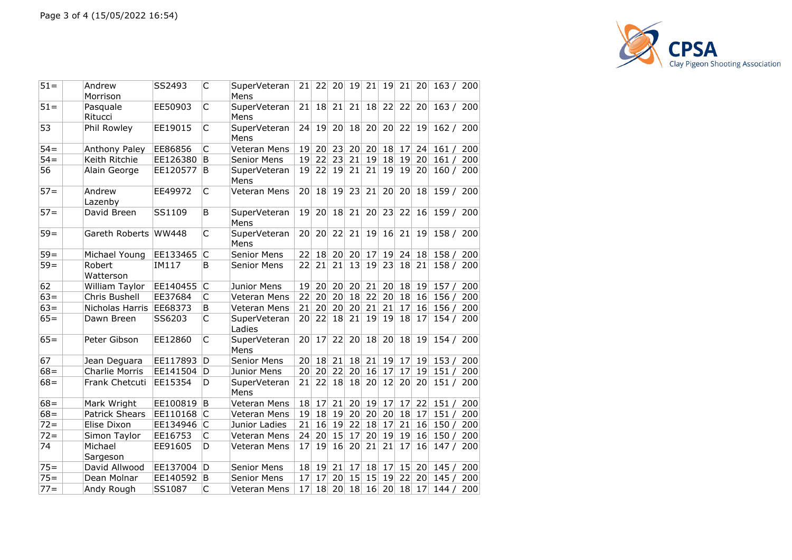

| $51 =$ | Andrew<br>Morrison    | SS2493   | C  | SuperVeteran<br>Mens   | 21              | 22 | 20              | 19 | 21 | 19              | 21 | 20        | 163 / 200 |     |
|--------|-----------------------|----------|----|------------------------|-----------------|----|-----------------|----|----|-----------------|----|-----------|-----------|-----|
| $51 =$ | Pasquale<br>Ritucci   | EE50903  | C  | SuperVeteran<br>Mens   | 21              | 18 | 21              | 21 | 18 | 22              | 22 | 20        | 163/      | 200 |
| 53     | Phil Rowley           | EE19015  | C  | SuperVeteran<br>Mens   | 24              | 19 | 20 <sup>2</sup> | 18 | 20 | 20 <sup>1</sup> | 22 | 19        | 162 / 200 |     |
| $54 =$ | Anthony Paley         | EE86856  | C  | Veteran Mens           | 19              | 20 | 23              | 20 | 20 | 18              | 17 | 24        | 161/      | 200 |
| $54=$  | Keith Ritchie         | EE126380 | B  | <b>Senior Mens</b>     | 19              | 22 | 23              | 21 | 19 | 18              | 19 | 20        | 161/      | 200 |
| 56     | Alain George          | EE120577 | B  | SuperVeteran<br>Mens   | 19              | 22 | 19              | 21 | 21 | 19              | 19 | 20        | 160 / 200 |     |
| $57 =$ | Andrew<br>Lazenby     | EE49972  | C  | Veteran Mens           | 20 <sup>1</sup> | 18 | 19              | 23 | 21 | 20 <sub>1</sub> | 20 | <b>18</b> | 159 / 200 |     |
| $57 =$ | David Breen           | SS1109   | B  | SuperVeteran<br>Mens   | 19              | 20 | 18              | 21 | 20 | 23              | 22 | 16        | 159 / 200 |     |
| $59 =$ | Gareth Roberts        | WW448    | C  | SuperVeteran<br>Mens   | 20              | 20 | 22              | 21 | 19 | 16              | 21 | 19        | 158 / 200 |     |
| $59 =$ | Michael Young         | EE133465 | C  | <b>Senior Mens</b>     | 22              | 18 | 20              | 20 | 17 | 19              | 24 | 18        | 158 / 200 |     |
| $59=$  | Robert<br>Watterson   | IM117    | B  | <b>Senior Mens</b>     | 22              | 21 | 21              | 13 | 19 | 23              | 18 | 21        | 158 / 200 |     |
| 62     | William Taylor        | EE140455 | C  | Junior Mens            | 19              | 20 | 20              | 20 | 21 | 20              | 18 | 19        | 157/      | 200 |
| $63 =$ | Chris Bushell         | EE37684  | C  | <b>Veteran Mens</b>    | 22              | 20 | 20              | 18 | 22 | 20 <sup>2</sup> | 18 | 16        | 156/      | 200 |
| $63 =$ | Nicholas Harris       | EE68373  | B  | Veteran Mens           | 21              | 20 | 20              | 20 | 21 | 21              | 17 | 16        | 156/      | 200 |
| $65 =$ | Dawn Breen            | SS6203   | C  | SuperVeteran<br>Ladies | 20 <sup>1</sup> | 22 | 18              | 21 | 19 | 19              | 18 | 17        | 154 / 200 |     |
| $65 =$ | Peter Gibson          | EE12860  | C  | SuperVeteran<br>Mens   | 20              | 17 | 22              | 20 | 18 | 20 <sup>2</sup> | 18 | 19        | 154 / 200 |     |
| 67     | Jean Deguara          | EE117893 | D  | <b>Senior Mens</b>     | 20              | 18 | 21              | 18 | 21 | 19              | 17 | 19        | 153/      | 200 |
| $68 =$ | Charlie Morris        | EE141504 | D  | Junior Mens            | 20              | 20 | 22              | 20 | 16 | 17              | 17 | 19        | 151/      | 200 |
| $68 =$ | Frank Chetcuti        | EE15354  | D  | SuperVeteran<br>Mens   | 21              | 22 | 18              | 18 | 20 | 12              | 20 | 20        | 151 / 200 |     |
| $68 =$ | Mark Wright           | EE100819 | B  | Veteran Mens           | 18              | 17 | 21              | 20 | 19 | 17              | 17 | 22        | 151/      | 200 |
| $68 =$ | <b>Patrick Shears</b> | EE110168 | C  | Veteran Mens           | 19              | 18 | 19              | 20 | 20 | 20              | 18 | 17        | 151/      | 200 |
| $72 =$ | Elise Dixon           | EE134946 | C  | Junior Ladies          | 21              | 16 | 19              | 22 | 18 | 17              | 21 | 16        | 150/      | 200 |
| $72 =$ | Simon Taylor          | EE16753  | C  | Veteran Mens           | 24              | 20 | 15              | 17 | 20 | 19              | 19 | 16        | 150/      | 200 |
| 74     | Michael<br>Sargeson   | EE91605  | D  | Veteran Mens           | 17              | 19 | 16              | 20 | 21 | 21              | 17 | 16        | 147 / 200 |     |
| $75 =$ | David Allwood         | EE137004 | D  | <b>Senior Mens</b>     | 18              | 19 | 21              | 17 | 18 | 17 <sup>1</sup> | 15 | 20        | 145/      | 200 |
| $75 =$ | Dean Molnar           | EE140592 | ΙB | <b>Senior Mens</b>     | 17              | 17 | 20              | 15 | 15 | 19              | 22 | 20        | 145/      | 200 |
| $77 =$ | Andy Rough            | SS1087   | C  | Veteran Mens           | 17              | 18 | 20              | 18 | 16 | 20              | 18 | 17        | 144/      | 200 |